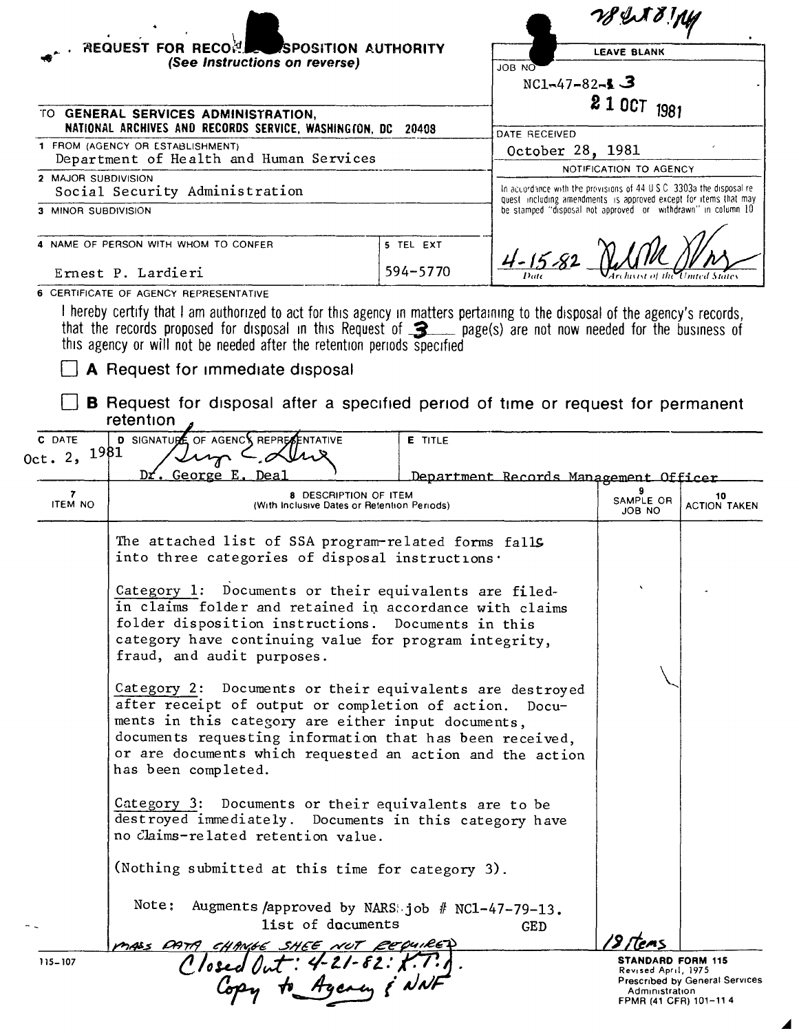|                                                                                                    |                                                                                                                                                                                                                                                                                                                          |                |                                                                                                                                  | WIND M                                     |                                                                 |  |
|----------------------------------------------------------------------------------------------------|--------------------------------------------------------------------------------------------------------------------------------------------------------------------------------------------------------------------------------------------------------------------------------------------------------------------------|----------------|----------------------------------------------------------------------------------------------------------------------------------|--------------------------------------------|-----------------------------------------------------------------|--|
| <b>REQUEST FOR RECORD</b><br>SPOSITION AUTHORITY                                                   |                                                                                                                                                                                                                                                                                                                          |                | <b>LEAVE BLANK</b>                                                                                                               |                                            |                                                                 |  |
|                                                                                                    | (See Instructions on reverse)                                                                                                                                                                                                                                                                                            |                | ON BOL                                                                                                                           |                                            |                                                                 |  |
|                                                                                                    | $NC1 - 47 - 82 - 13$                                                                                                                                                                                                                                                                                                     |                |                                                                                                                                  |                                            | 2 1 OCT 1981                                                    |  |
| TO GENERAL SERVICES ADMINISTRATION,<br>NATIONAL ARCHIVES AND RECORDS SERVICE, WASHINGTON, DC 20408 |                                                                                                                                                                                                                                                                                                                          |                |                                                                                                                                  |                                            |                                                                 |  |
|                                                                                                    | 1 FROM (AGENCY OR ESTABLISHMENT)                                                                                                                                                                                                                                                                                         |                | DATE RECEIVED                                                                                                                    |                                            |                                                                 |  |
| Department of Health and Human Services                                                            |                                                                                                                                                                                                                                                                                                                          |                |                                                                                                                                  | October 28, 1981<br>NOTIFICATION TO AGENCY |                                                                 |  |
| 2 MAJOR SUBDIVISION                                                                                | Social Security Administration                                                                                                                                                                                                                                                                                           |                | In accordance with the provisions of $44 \cup S$ C $-3303$ a the disposal re-                                                    |                                            |                                                                 |  |
| 3 MINOR SUBDIVISION                                                                                |                                                                                                                                                                                                                                                                                                                          |                | quest including amendments is approved except for items that may<br>be stamped "disposal not approved or withdrawn" in column 10 |                                            |                                                                 |  |
|                                                                                                    | NAME OF PERSON WITH WHOM TO CONFER                                                                                                                                                                                                                                                                                       | 5 TEL EXT      |                                                                                                                                  |                                            |                                                                 |  |
|                                                                                                    |                                                                                                                                                                                                                                                                                                                          |                | $4 - 15 - 82$                                                                                                                    |                                            |                                                                 |  |
|                                                                                                    | Ernest P. Lardieri                                                                                                                                                                                                                                                                                                       | 594-5770       |                                                                                                                                  |                                            |                                                                 |  |
|                                                                                                    | 6 CERTIFICATE OF AGENCY REPRESENTATIVE                                                                                                                                                                                                                                                                                   |                |                                                                                                                                  |                                            |                                                                 |  |
|                                                                                                    | I hereby certify that I am authorized to act for this agency in matters pertaining to the disposal of the agency's records,<br>that the records proposed for disposal in this Request of 3 page(s) are not now needed for the business of<br>this agency or will not be needed after the retention periods specified     |                |                                                                                                                                  |                                            |                                                                 |  |
|                                                                                                    | A Request for immediate disposal                                                                                                                                                                                                                                                                                         |                |                                                                                                                                  |                                            |                                                                 |  |
|                                                                                                    | <b>B</b> Request for disposal after a specified period of time or request for permanent                                                                                                                                                                                                                                  |                |                                                                                                                                  |                                            |                                                                 |  |
|                                                                                                    | retention                                                                                                                                                                                                                                                                                                                |                |                                                                                                                                  |                                            |                                                                 |  |
| C DATE                                                                                             | <b>D</b> SIGNATUPE OF AGENCY REPRESENTATIVE                                                                                                                                                                                                                                                                              | <b>E</b> TITLE |                                                                                                                                  |                                            |                                                                 |  |
| Oct. $2,$                                                                                          | 1981                                                                                                                                                                                                                                                                                                                     |                |                                                                                                                                  |                                            |                                                                 |  |
| 7                                                                                                  | George<br>8 DESCRIPTION OF ITEM                                                                                                                                                                                                                                                                                          |                | Department Records Management Officer                                                                                            |                                            | 10                                                              |  |
| <b>ITEM NO</b>                                                                                     | (With Inclusive Dates or Retention Periods)                                                                                                                                                                                                                                                                              |                |                                                                                                                                  | SAMPLE OR<br>JOB NO                        | <b>ACTION TAKEN</b>                                             |  |
|                                                                                                    | The attached list of SSA program-related forms falls<br>into three categories of disposal instructions.                                                                                                                                                                                                                  |                |                                                                                                                                  |                                            |                                                                 |  |
|                                                                                                    | Category 1: Documents or their equivalents are filed-<br>in claims folder and retained in accordance with claims<br>folder disposition instructions. Documents in this<br>category have continuing value for program integrity,<br>fraud, and audit purposes.                                                            |                |                                                                                                                                  |                                            |                                                                 |  |
|                                                                                                    | Category 2: Documents or their equivalents are destroyed<br>after receipt of output or completion of action. Docu-<br>ments in this category are either input documents,<br>documents requesting information that has been received,<br>or are documents which requested an action and the action<br>has been completed. |                |                                                                                                                                  |                                            |                                                                 |  |
|                                                                                                    | Category 3: Documents or their equivalents are to be<br>destroyed immediately. Documents in this category have<br>no Claims-related retention value.                                                                                                                                                                     |                |                                                                                                                                  |                                            |                                                                 |  |
|                                                                                                    | (Nothing submitted at this time for category 3).                                                                                                                                                                                                                                                                         |                |                                                                                                                                  |                                            |                                                                 |  |
|                                                                                                    | Note: Augments /approved by NARS: job # NC1-47-79-13.<br>list of documents                                                                                                                                                                                                                                               |                | <b>GED</b>                                                                                                                       |                                            |                                                                 |  |
| 115-107                                                                                            |                                                                                                                                                                                                                                                                                                                          |                |                                                                                                                                  | STANDARD FORM 115                          |                                                                 |  |
|                                                                                                    | mass para change shee not cepules.<br>Closed Out: 4-21-82: X.T.J.<br>Copy to Agency & NNF                                                                                                                                                                                                                                |                |                                                                                                                                  | Revised April, 1975<br>Administration      | <b>Prescribed by General Services</b><br>FPMR (41 CFR) 101-11 4 |  |

 $\blacktriangle$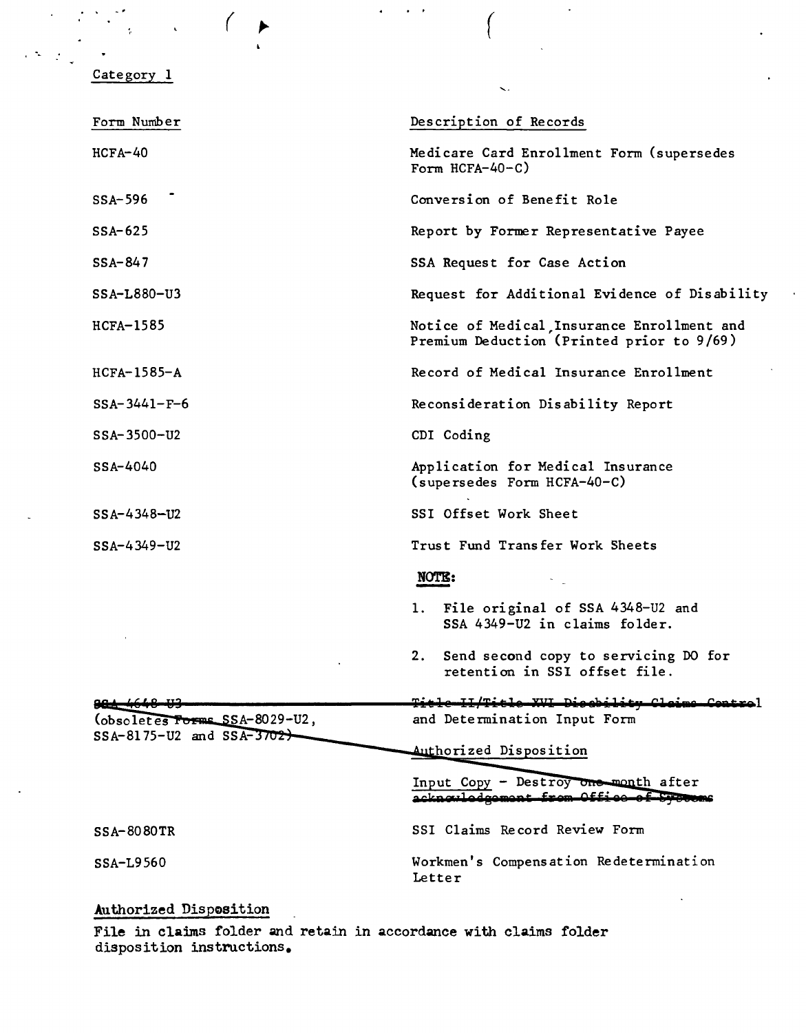## Category 1

-,

| Form Number                                                   | Description of Records                                                                  |  |  |
|---------------------------------------------------------------|-----------------------------------------------------------------------------------------|--|--|
| $HCFA-40$                                                     | Medicare Card Enrollment Form (supersedes<br>Form $HCFA-40-C$ )                         |  |  |
| SSA-596                                                       | Conversion of Benefit Role                                                              |  |  |
| $SSA-625$                                                     | Report by Former Representative Payee                                                   |  |  |
| $SSA-847$                                                     | SSA Request for Case Action                                                             |  |  |
| $SSA-L880-U3$                                                 | Request for Additional Evidence of Disability                                           |  |  |
| $HCFA-1585$                                                   | Notice of Medical Insurance Enrollment and<br>Premium Deduction (Printed prior to 9/69) |  |  |
| $HCFA-1585-A$                                                 | Record of Medical Insurance Enrollment                                                  |  |  |
| $SSA-3441-F-6$                                                | Reconsideration Disability Report                                                       |  |  |
| SSA-3500-U2                                                   | CDI Coding                                                                              |  |  |
| $SSA-4040$                                                    | Application for Medical Insurance<br>(supersedes Form HCFA-40-C)                        |  |  |
| $SSA - 4348 - U2$                                             | SSI Offset Work Sheet                                                                   |  |  |
| $SSA - 4349 - U2$                                             | Trust Fund Transfer Work Sheets                                                         |  |  |
|                                                               | NOTE:                                                                                   |  |  |
|                                                               | File original of SSA 4348-U2 and<br>1.<br>SSA 4349-U2 in claims folder.                 |  |  |
|                                                               | Send second copy to servicing DO for<br>2.<br>retention in SSI offset file.             |  |  |
|                                                               | متخنشلته<br>XVI Diegbility Claime Control                                               |  |  |
| (obsoletes Forms SSA-8029-U2,<br>$SSA-8175-U2$ and $SSA-3702$ | and Determination Input Form                                                            |  |  |
|                                                               | Authorized Disposition                                                                  |  |  |
|                                                               | Input Copy - Destroy one month after<br>acknowledgement from Office                     |  |  |
| SSA-8080TR                                                    | SSI Claims Record Review Form                                                           |  |  |
| SSA-L9560                                                     | Workmen's Compensation Redetermination<br>Letter                                        |  |  |

 $($ 

 $\ddot{\phantom{0}}$ 

## Authorized Disposition

File in claims folder and retain in accordance with claims folder disposition instructions.